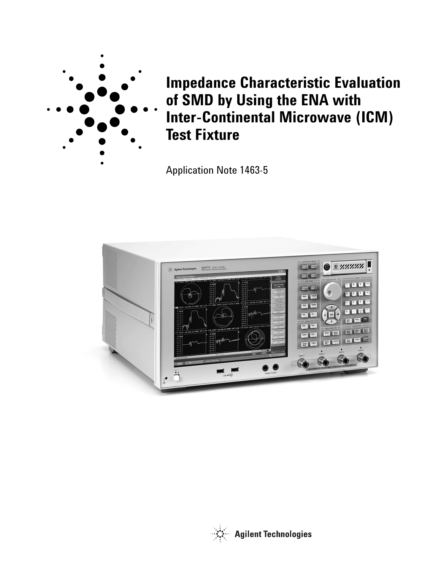

**Impedance Characteristic Evaluation of SMD by Using the ENA with Inter-Continental Microwave (ICM) Test Fixture**

Application Note 1463-5



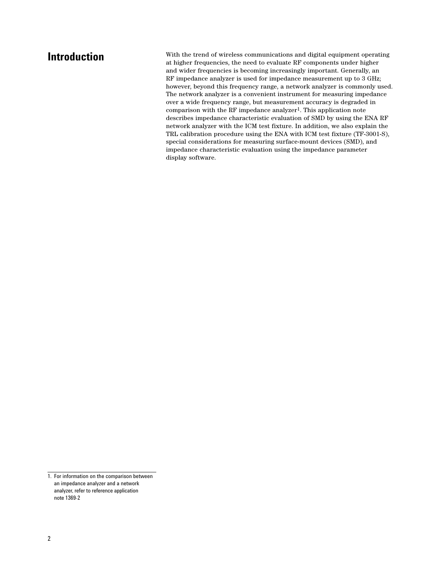**Introduction** With the trend of wireless communications and digital equipment operating at higher frequencies, the need to evaluate RF components under higher and wider frequencies is becoming increasingly important. Generally, an RF impedance analyzer is used for impedance measurement up to 3 GHz; however, beyond this frequency range, a network analyzer is commonly used. The network analyzer is a convenient instrument for measuring impedance over a wide frequency range, but measurement accuracy is degraded in comparison with the RF impedance analyzer<sup>1</sup>. This application note describes impedance characteristic evaluation of SMD by using the ENA RF network analyzer with the ICM test fixture. In addition, we also explain the TRL calibration procedure using the ENA with ICM test fixture (TF-3001-S), special considerations for measuring surface-mount devices (SMD), and impedance characteristic evaluation using the impedance parameter display software.

<sup>1.</sup> For information on the comparison between an impedance analyzer and a network analyzer, refer to reference application note 1369-2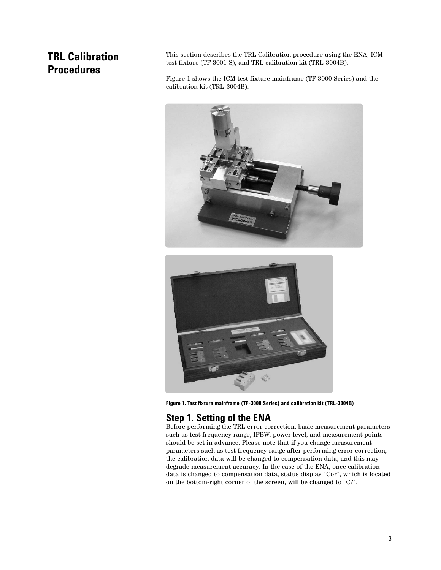# **TRL Calibration Procedures**

This section describes the TRL Calibration procedure using the ENA, ICM test fixture (TF-3001-S), and TRL calibration kit (TRL-3004B).

Figure 1 shows the ICM test fixture mainframe (TF-3000 Series) and the calibration kit (TRL-3004B).





**Figure 1. Test fixture mainframe (TF-3000 Series) and calibration kit (TRL-3004B)**

## **Step 1. Setting of the ENA**

Before performing the TRL error correction, basic measurement parameters such as test frequency range, IFBW, power level, and measurement points should be set in advance. Please note that if you change measurement parameters such as test frequency range after performing error correction, the calibration data will be changed to compensation data, and this may degrade measurement accuracy. In the case of the ENA, once calibration data is changed to compensation data, status display "Cor", which is located on the bottom-right corner of the screen, will be changed to "C?".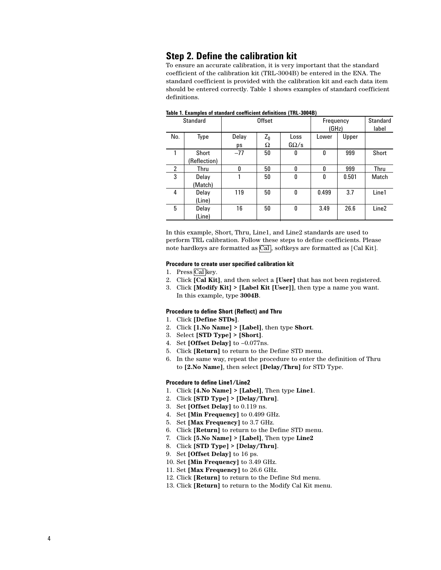### **Step 2. Define the calibration kit**

To ensure an accurate calibration, it is very important that the standard coefficient of the calibration kit (TRL-3004B) be entered in the ENA. The standard coefficient is provided with the calibration kit and each data item should be entered correctly. Table 1 shows examples of standard coefficient definitions.

| <b>Standard</b> |              | <b>Offset</b> |       |              | Frequency |       | <b>Standard</b>   |
|-----------------|--------------|---------------|-------|--------------|-----------|-------|-------------------|
|                 |              |               |       |              | (GHz)     |       | label             |
| No.             | Type         | Delay         | $Z_0$ | Loss         | Lower     | Upper |                   |
|                 |              | ps            | Ω     | $G\Omega/s$  |           |       |                   |
| 1               | Short        | $-77$         | 50    | 0            | 0         | 999   | Short             |
|                 | (Reflection) |               |       |              |           |       |                   |
| 2               | Thru         | 0             | 50    | $\mathbf{0}$ | 0         | 999   | Thru              |
| 3               | Delay        |               | 50    | 0            | 0         | 0.501 | Match             |
|                 | (Match)      |               |       |              |           |       |                   |
| 4               | Delay        | 119           | 50    | 0            | 0.499     | 3.7   | Line1             |
|                 | (Line)       |               |       |              |           |       |                   |
| 5               | Delay        | 16            | 50    | 0            | 3.49      | 26.6  | Line <sub>2</sub> |
|                 | (Line)       |               |       |              |           |       |                   |

### **Table 1. Examples of standard coefficient definitions (TRL-3004B)**

In this example, Short, Thru, Line1, and Line2 standards are used to perform TRL calibration. Follow these steps to define coefficients. Please note hardkeys are formatted as  $\overline{\text{Cal}}$ , softkeys are formatted as [Cal Kit].

#### **Procedure to create user specified calibration kit**

- 1. Press Cal key.
- 2. Click **[Cal Kit]**, and then select a **[User]** that has not been registered.
- 3. Click **[Modify Kit] > [Label Kit [User]]**, then type a name you want. In this example, type **3004B**.

#### **Procedure to define Short (Reflect) and Thru**

- 1. Click **[Define STDs]**.
- 2. Click **[1.No Name] > [Label]**, then type **Short**.
- 3. Select **[STD Type] > [Short]**.
- 4. Set **[Offset Delay]** to –0.077ns.
- 5. Click **[Return]** to return to the Define STD menu.
- 6. In the same way, repeat the procedure to enter the definition of Thru to **[2.No Name]**, then select **[Delay/Thru]** for STD Type.

### **Procedure to define Line1/Line2**

- 1. Click **[4.No Name] > [Label]**, Then type **Line1**.
- 2. Click **[STD Type] > [Delay/Thru]**.
- 3. Set **[Offset Delay]** to 0.119 ns.
- 4. Set **[Min Frequency]** to 0.499 GHz.
- 5. Set **[Max Frequency]** to 3.7 GHz.
- 6. Click **[Return]** to return to the Define STD menu.
- 7. Click **[5.No Name] > [Label]**, Then type **Line2**
- 8. Click **[STD Type] > [Delay/Thru]**.
- 9. Set **[Offset Delay]** to 16 ps.
- 10. Set **[Min Frequency]** to 3.49 GHz.
- 11. Set **[Max Frequency]** to 26.6 GHz.
- 12. Click **[Return]** to return to the Define Std menu.
- 13. Click **[Return]** to return to the Modify Cal Kit menu.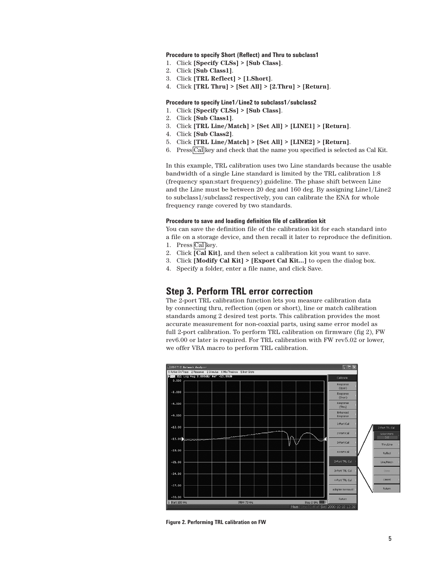### **Procedure to specify Short (Reflect) and Thru to subclass1**

- 1. Click **[Specify CLSs] > [Sub Class]**.
- 2. Click **[Sub Class1]**.
- 3. Click **[TRL Reflect] > [1.Short]**.
- 4. Click **[TRL Thru] > [Set All] > [2.Thru] > [Return]**.

### **Procedure to specify Line1/Line2 to subclass1/subclass2**

- 1. Click **[Specify CLSs] > [Sub Class]**.
- 2. Click **[Sub Class1]**.
- 3. Click **[TRL Line/Match] > [Set All] > [LINE1] > [Return]**.
- 4. Click **[Sub Class2]**.
- 5. Click **[TRL Line/Match] > [Set All] > [LINE2] > [Return]**.
- 6. Press  $\boxed{\text{Cal}}$  key and check that the name you specified is selected as Cal Kit.

In this example, TRL calibration uses two Line standards because the usable bandwidth of a single Line standard is limited by the TRL calibration 1:8 (frequency span:start frequency) guideline. The phase shift between Line and the Line must be between 20 deg and 160 deg. By assigning Line1/Line2 to subclass1/subclass2 respectively, you can calibrate the ENA for whole frequency range covered by two standards.

#### **Procedure to save and loading definition file of calibration kit**

You can save the definition file of the calibration kit for each standard into a file on a storage device, and then recall it later to reproduce the definition.

- 1. Press Callkey.
- 2. Click  $\overline{Cal}$  Kit], and then select a calibration kit you want to save.
- 3. Click **[Modify Cal Kit] > [Export Cal Kit...]** to open the dialog box.
- 4. Specify a folder, enter a file name, and click Save.

### **Step 3. Perform TRL error correction**

The 2-port TRL calibration function lets you measure calibration data by connecting thru, reflection (open or short), line or match calibration standards among 2 desired test ports. This calibration provides the most accurate measurement for non-coaxial parts, using same error model as full 2-port calibration. To perform TRL calibration on firmware (fig 2), FW rev6.00 or later is required. For TRL calibration with FW rev5.02 or lower, we offer VBA macro to perform TRL calibration.



**Figure 2. Performing TRL calibration on FW**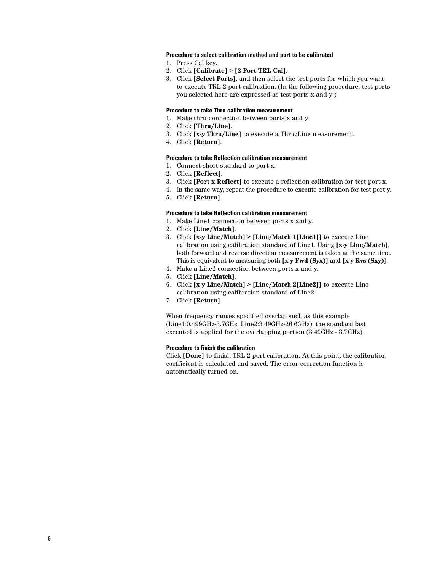### **Procedure to select calibration method and port to be calibrated**

- 1. Press Callkey.
- 2. Click **[Calibrate] > [2-Port TRL Cal]**.
- 3. Click **[Select Ports]**, and then select the test ports for which you want to execute TRL 2-port calibration. (In the following procedure, test ports you selected here are expressed as test ports x and y.)

#### **Procedure to take Thru calibration measurement**

- 1. Make thru connection between ports x and y.
- 2. Click **[Thru/Line]**.
- 3. Click **[x-y Thru/Line]** to execute a Thru/Line measurement.
- 4. Click **[Return]**.

#### **Procedure to take Reflection calibration measurement**

- 1. Connect short standard to port x.
- 2. Click **[Reflect]**.
- 3. Click **[Port x Reflect]** to execute a reflection calibration for test port x.
- 4. In the same way, repeat the procedure to execute calibration for test port y.
- 5. Click **[Return]**.

### **Procedure to take Reflection calibration measurement**

- 1. Make Line1 connection between ports x and y.
- 2. Click **[Line/Match]**.
- 3. Click **[x-y Line/Match] > [Line/Match 1[Line1]]** to execute Line calibration using calibration standard of Line1. Using **[x-y Line/Match]**, both forward and reverse direction measurement is taken at the same time. This is equivalent to measuring both **[x-y Fwd (Syx)]** and **[x-y Rvs (Sxy)]**.
- 4. Make a Line2 connection between ports x and y.
- 5. Click **[Line/Match]**.
- 6. Click **[x-y Line/Match] > [Line/Match 2[Line2]]** to execute Line calibration using calibration standard of Line2.
- 7. Click **[Return]**.

When frequency ranges specified overlap such as this example (Line1:0.499GHz-3.7GHz, Line2:3.49GHz-26.6GHz), the standard last executed is applied for the overlapping portion (3.49GHz - 3.7GHz).

#### **Procedure to finish the calibration**

Click **[Done]** to finish TRL 2-port calibration. At this point, the calibration coefficient is calculated and saved. The error correction function is automatically turned on.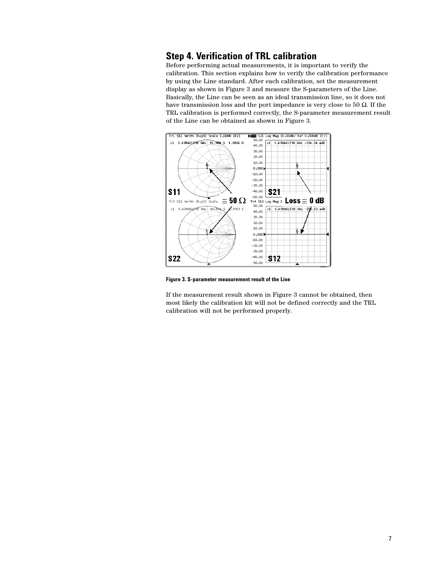### **Step 4. Verification of TRL calibration**

Before performing actual measurements, it is important to verify the calibration. This section explains how to verify the calibration performance by using the Line standard. After each calibration, set the measurement display as shown in Figure 3 and measure the S-parameters of the Line. Basically, the Line can be seen as an ideal transmission line, so it does not have transmission loss and the port impedance is very close to 50  $\Omega$ . If the TRL calibration is performed correctly, the S-parameter measurement result of the Line can be obtained as shown in Figure 3.



**Figure 3. S-parameter measurement result of the Line**

If the measurement result shown in Figure 3 cannot be obtained, then most likely the calibration kit will not be defined correctly and the TRL calibration will not be performed properly.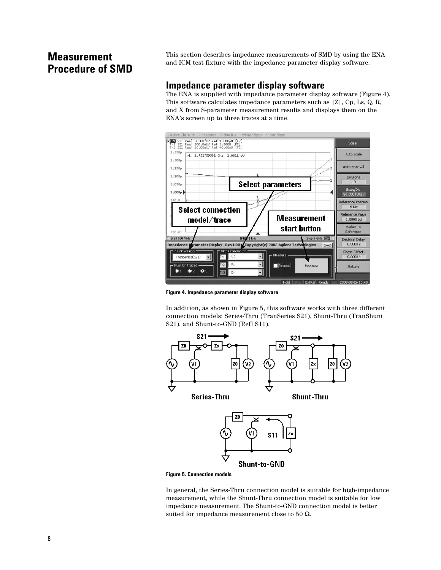# **Measurement Procedure of SMD**

This section describes impedance measurements of SMD by using the ENA and ICM test fixture with the impedance parameter display software.

### **Impedance parameter display software**

The ENA is supplied with impedance parameter display software (Figure 4). This software calculates impedance parameters such as |Z|, Cp, Ls, Q, R, and X from S-parameter measurement results and displays them on the ENA's screen up to three traces at a time.



**Figure 4. Impedance parameter display software**

In addition, as shown in Figure 5, this software works with three different connection models: Series-Thru (TranSeries S21), Shunt-Thru (TranShunt S21), and Shunt-to-GND (Refl S11).



**Figure 5. Connection models**

In general, the Series-Thru connection model is suitable for high-impedance measurement, while the Shunt-Thru connection model is suitable for low impedance measurement. The Shunt-to-GND connection model is better suited for impedance measurement close to 50  $\Omega$ .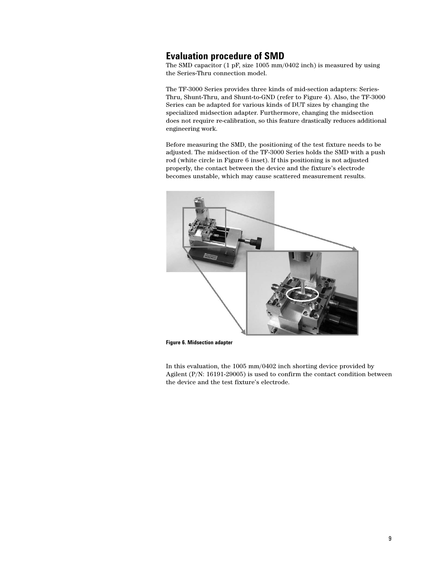### **Evaluation procedure of SMD**

The SMD capacitor (1 pF, size 1005 mm/0402 inch) is measured by using the Series-Thru connection model.

The TF-3000 Series provides three kinds of mid-section adapters: Series-Thru, Shunt-Thru, and Shunt-to-GND (refer to Figure 4). Also, the TF-3000 Series can be adapted for various kinds of DUT sizes by changing the specialized midsection adapter. Furthermore, changing the midsection does not require re-calibration, so this feature drastically reduces additional engineering work.

Before measuring the SMD, the positioning of the test fixture needs to be adjusted. The midsection of the TF-3000 Series holds the SMD with a push rod (white circle in Figure 6 inset). If this positioning is not adjusted properly, the contact between the device and the fixture's electrode becomes unstable, which may cause scattered measurement results.



**Figure 6. Midsection adapter**

In this evaluation, the 1005 mm/0402 inch shorting device provided by Agilent (P/N: 16191-29005) is used to confirm the contact condition between the device and the test fixture's electrode.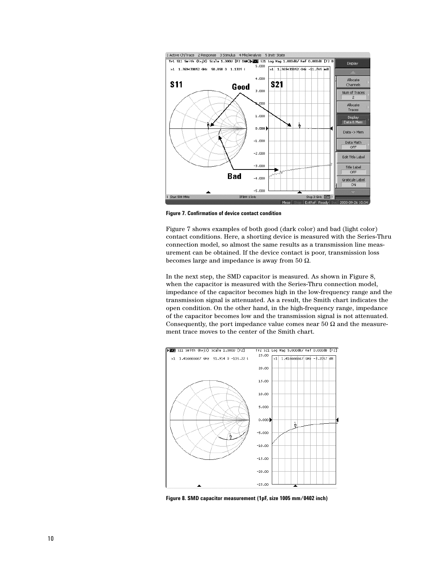

**Figure 7. Confirmation of device contact condition**

Figure 7 shows examples of both good (dark color) and bad (light color) contact conditions. Here, a shorting device is measured with the Series-Thru connection model, so almost the same results as a transmission line measurement can be obtained. If the device contact is poor, transmission loss becomes large and impedance is away from 50  $Ω$ .

In the next step, the SMD capacitor is measured. As shown in Figure 8, when the capacitor is measured with the Series-Thru connection model, impedance of the capacitor becomes high in the low-frequency range and the transmission signal is attenuated. As a result, the Smith chart indicates the open condition. On the other hand, in the high-frequency range, impedance of the capacitor becomes low and the transmission signal is not attenuated. Consequently, the port impedance value comes near 50  $\Omega$  and the measurement trace moves to the center of the Smith chart.



**Figure 8. SMD capacitor measurement (1pF, size 1005 mm/0402 inch)**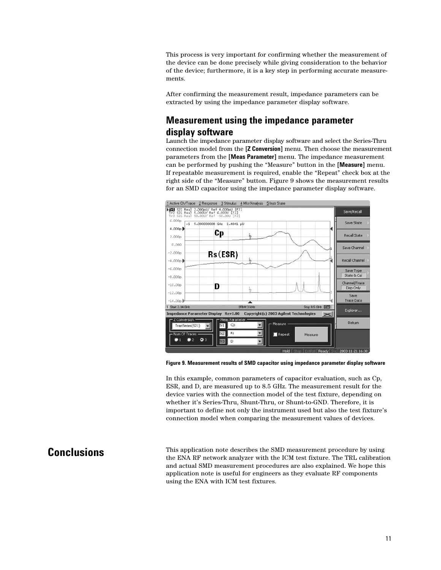This process is very important for confirming whether the measurement of the device can be done precisely while giving consideration to the behavior of the device; furthermore, it is a key step in performing accurate measurements.

After confirming the measurement result, impedance parameters can be extracted by using the impedance parameter display software.

### **Measurement using the impedance parameter display software**

Launch the impedance parameter display software and select the Series-Thru connection model from the **[Z Conversion]** menu. Then choose the measurement parameters from the **[Meas Parameter]** menu. The impedance measurement can be performed by pushing the "Measure" button in the **[Measure]** menu. If repeatable measurement is required, enable the "Repeat" check box at the right side of the "Measure" button. Figure 9 shows the measurement results for an SMD capacitor using the impedance parameter display software.



**Figure 9. Measurement results of SMD capacitor using impedance parameter display software**

In this example, common parameters of capacitor evaluation, such as Cp, ESR, and D, are measured up to 8.5 GHz. The measurement result for the device varies with the connection model of the test fixture, depending on whether it's Series-Thru, Shunt-Thru, or Shunt-to-GND. Therefore, it is important to define not only the instrument used but also the test fixture's connection model when comparing the measurement values of devices.

# **Conclusions**

This application note describes the SMD measurement procedure by using the ENA RF network analyzer with the ICM test fixture. The TRL calibration and actual SMD measurement procedures are also explained. We hope this application note is useful for engineers as they evaluate RF components using the ENA with ICM test fixtures.